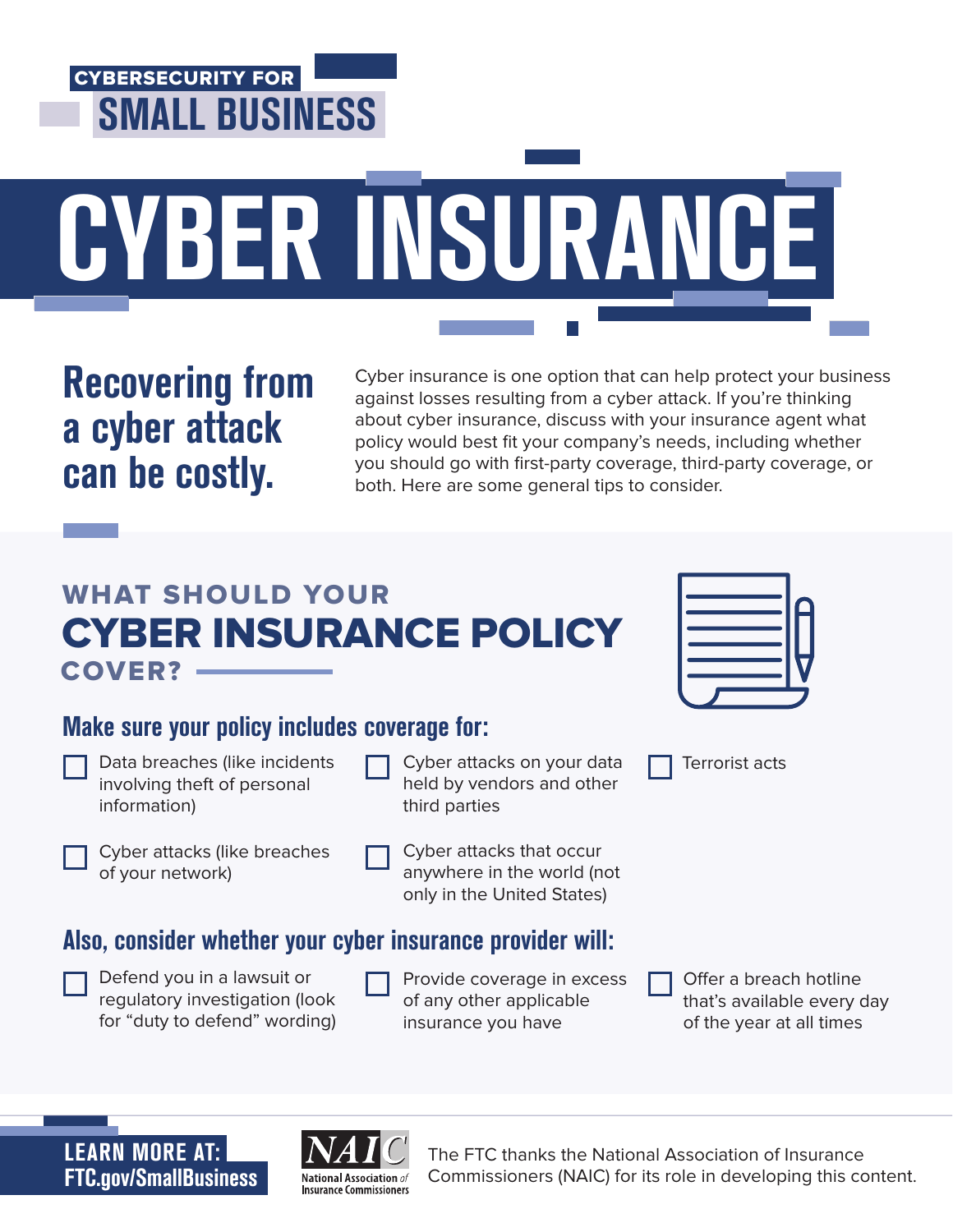

Recovering from a cyber attack can be costly.

Cyber insurance is one option that can help protect your business against losses resulting from a cyber attack. If you're thinking about cyber insurance, discuss with your insurance agent what policy would best fit your company's needs, including whether you should go with first-party coverage, third-party coverage, or both. Here are some general tips to consider.

# WHAT SHOULD YOUR CYBER INSURANCE POLICY COVER?

Terrorist acts

## Make sure your policy includes coverage for:

| Data breaches (like incidents |
|-------------------------------|
| involving theft of personal   |
| information)                  |

Cyber attacks on your data held by vendors and other third parties

Cyber attacks (like breaches of your network)

- 
- Cyber attacks that occur anywhere in the world (not only in the United States)

## Also, consider whether your cyber insurance provider will:

| Defend you in a lawsuit or     |
|--------------------------------|
| regulatory investigation (look |
| for "duty to defend" wording)  |

Provide coverage in excess of any other applicable insurance you have

Offer a breach hotline that's available every day of the year at all times

FTC.gov/SmallBusiness LEARN MORE AT:



The FTC thanks the National Association of Insurance Commissioners (NAIC) for its role in developing this content.